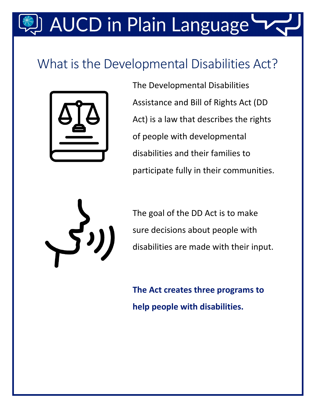# **AUCD in Plain Language**

### What is the Developmental Disabilities Act?



The Developmental Disabilities Assistance and Bill of Rights Act (DD Act) is a law that describes the rights of people with developmental disabilities and their families to participate fully in their communities.



The goal of the DD Act is to make sure decisions about people with disabilities are made with their input.

**The Act creates three programs to help people with disabilities.**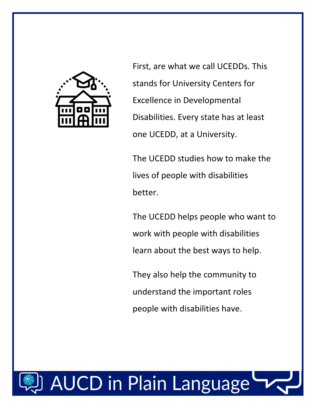

First, are what we call UCEDDs. This stands for University Centers for Excellence in Developmental Disabilities. Every state has at least one UCEDD, at a University.

The UCEDD studies how to make the lives of people with disabilities better.

The UCEDD helps people who want to work with people with disabilities learn about the best ways to help.

They also help the community to understand the important roles people with disabilities have.

# **AUCD in Plain Language**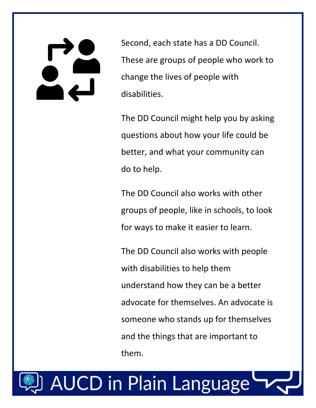Second, each state has a DD Council. These are groups of people who work to change the lives of people with disabilities.

The DD Council might help you by asking questions about how your life could be better, and what your community can do to help.

The DD Council also works with other groups of people, like in schools, to look for ways to make it easier to learn.

The DD Council also works with people with disabilities to help them understand how they can be a better advocate for themselves. An advocate is someone who stands up for themselves and the things that are important to them.

## **AUCD in Plain Language**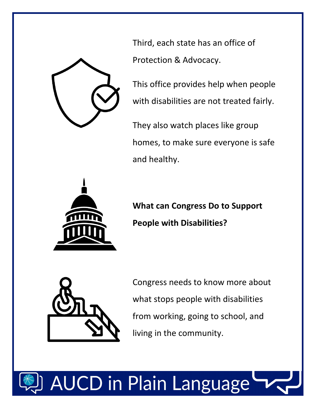

Third, each state has an office of Protection & Advocacy.

This office provides help when people with disabilities are not treated fairly.

They also watch places like group homes, to make sure everyone is safe and healthy.



**What can Congress Do to Support People with Disabilities?**



Congress needs to know more about what stops people with disabilities from working, going to school, and living in the community.

# JCD in Plain Language